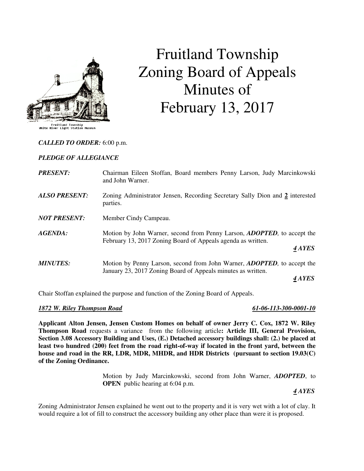

# Fruitland Township Zoning Board of Appeals Minutes of February 13, 2017

### *CALLED TO ORDER:* 6:00 p.m.

### *PLEDGE OF ALLEGIANCE*

| <b>PRESENT:</b>      | Chairman Eileen Stoffan, Board members Penny Larson, Judy Marcinkowski<br>and John Warner.                                                      |
|----------------------|-------------------------------------------------------------------------------------------------------------------------------------------------|
| <b>ALSO PRESENT:</b> | Zoning Administrator Jensen, Recording Secretary Sally Dion and 2 interested<br>parties.                                                        |
| <b>NOT PRESENT:</b>  | Member Cindy Campeau.                                                                                                                           |
| AGENDA:              | Motion by John Warner, second from Penny Larson, <i>ADOPTED</i> , to accept the<br>February 13, 2017 Zoning Board of Appeals agenda as written. |
|                      | 4 AYES                                                                                                                                          |
| <b>MINUTES:</b>      | Motion by Penny Larson, second from John Warner, <i>ADOPTED</i> , to accept the<br>January 23, 2017 Zoning Board of Appeals minutes as written. |
|                      | 4 AYES                                                                                                                                          |

Chair Stoffan explained the purpose and function of the Zoning Board of Appeals.

#### *1872 W. Riley Thompson Road 61-06-113-300-0001-10*

**Applicant Alton Jensen, Jensen Custom Homes on behalf of owner Jerry C. Cox, 1872 W. Riley Thompson Road** requests a variance from the following article**: Article III, General Provision, Section 3.08 Accessory Building and Uses, (E.) Detached accessory buildings shall: (2.) be placed at least two hundred (200) feet from the road right-of-way if located in the front yard, between the house and road in the RR, LDR, MDR, MHDR, and HDR Districts (pursuant to section 19.03(C) of the Zoning Ordinance.** 

> Motion by Judy Marcinkowski, second from John Warner, *ADOPTED*, to **OPEN** public hearing at 6:04 p.m.

 *4 AYES* 

Zoning Administrator Jensen explained he went out to the property and it is very wet with a lot of clay. It would require a lot of fill to construct the accessory building any other place than were it is proposed.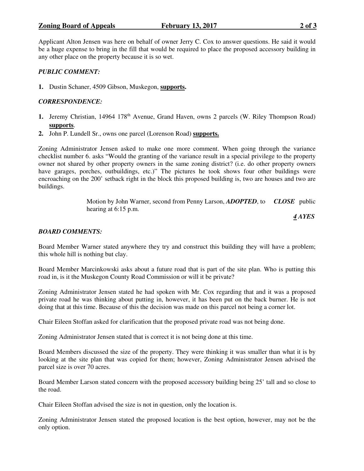## **Zoning Board of Appeals** February 13, 2017 **2017**

Applicant Alton Jensen was here on behalf of owner Jerry C. Cox to answer questions. He said it would be a huge expense to bring in the fill that would be required to place the proposed accessory building in any other place on the property because it is so wet.

# *PUBLIC COMMENT:*

**1.** Dustin Schaner, 4509 Gibson, Muskegon, **supports.** 

# *CORRESPONDENCE:*

- 1. Jeremy Christian, 14964 178<sup>th</sup> Avenue, Grand Haven, owns 2 parcels (W. Riley Thompson Road) **supports**.
- **2.** John P. Lundell Sr., owns one parcel (Lorenson Road) **supports.**

Zoning Administrator Jensen asked to make one more comment. When going through the variance checklist number 6. asks "Would the granting of the variance result in a special privilege to the property owner not shared by other property owners in the same zoning district? (i.e. do other property owners have garages, porches, outbuildings, etc.)" The pictures he took shows four other buildings were encroaching on the 200' setback right in the block this proposed building is, two are houses and two are buildings.

> Motion by John Warner, second from Penny Larson, *ADOPTED*, to *CLOSE* public hearing at 6:15 p.m.

 *4 AYES* 

### *BOARD COMMENTS:*

Board Member Warner stated anywhere they try and construct this building they will have a problem; this whole hill is nothing but clay.

Board Member Marcinkowski asks about a future road that is part of the site plan. Who is putting this road in, is it the Muskegon County Road Commission or will it be private?

Zoning Administrator Jensen stated he had spoken with Mr. Cox regarding that and it was a proposed private road he was thinking about putting in, however, it has been put on the back burner. He is not doing that at this time. Because of this the decision was made on this parcel not being a corner lot.

Chair Eileen Stoffan asked for clarification that the proposed private road was not being done.

Zoning Administrator Jensen stated that is correct it is not being done at this time.

Board Members discussed the size of the property. They were thinking it was smaller than what it is by looking at the site plan that was copied for them; however, Zoning Administrator Jensen advised the parcel size is over 70 acres.

Board Member Larson stated concern with the proposed accessory building being 25' tall and so close to the road.

Chair Eileen Stoffan advised the size is not in question, only the location is.

Zoning Administrator Jensen stated the proposed location is the best option, however, may not be the only option.